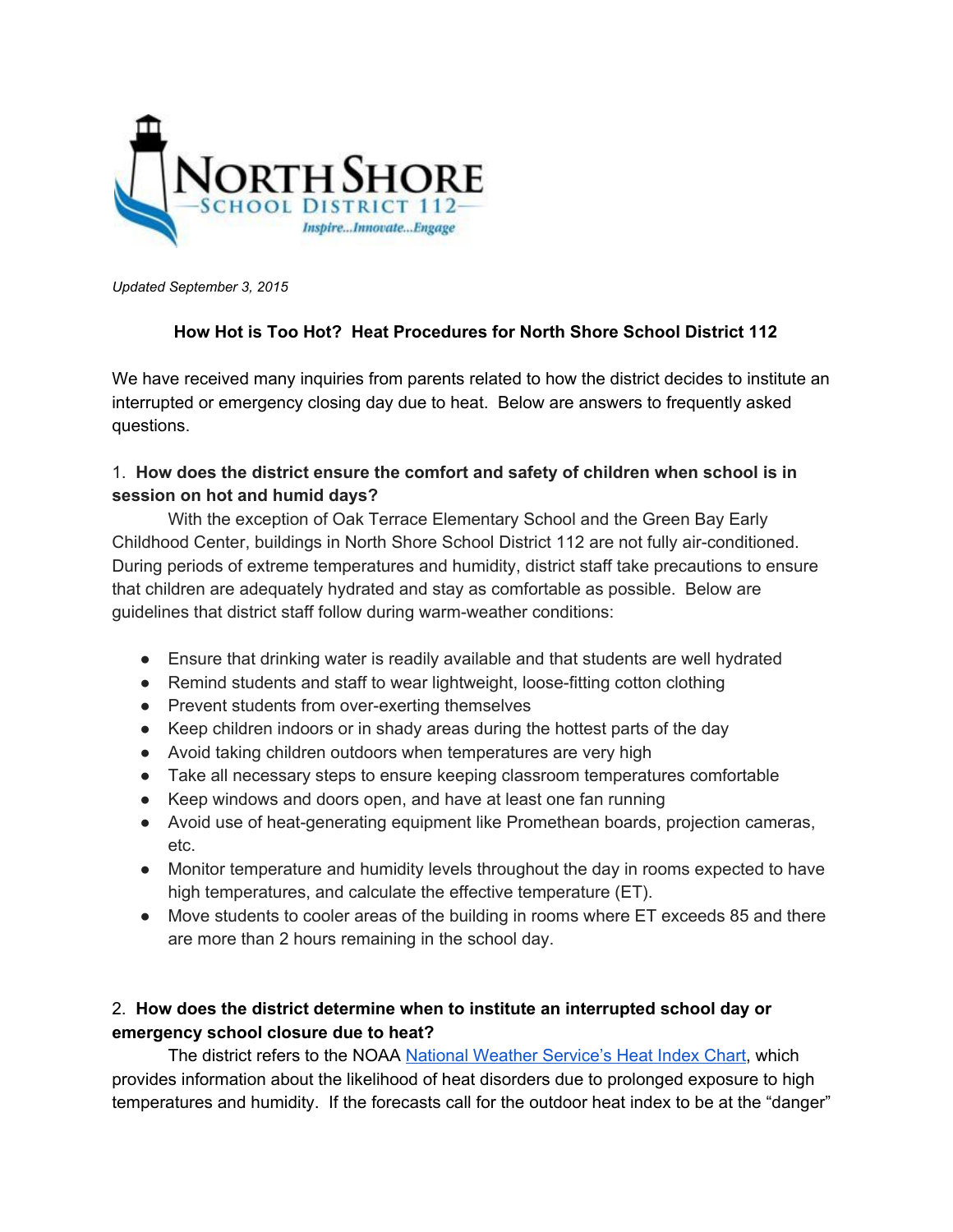

*Updated September 3, 2015*

# **How Hot is Too Hot? Heat Procedures for North Shore School District 112**

We have received many inquiries from parents related to how the district decides to institute an interrupted or emergency closing day due to heat. Below are answers to frequently asked questions.

# 1. **How does the district ensure the comfort and safety of children when school is in session on hot and humid days?**

With the exception of Oak Terrace Elementary School and the Green Bay Early Childhood Center, buildings in North Shore School District 112 are not fully air-conditioned. During periods of extreme temperatures and humidity, district staff take precautions to ensure that children are adequately hydrated and stay as comfortable as possible. Below are guidelines that district staff follow during warm-weather conditions:

- Ensure that drinking water is readily available and that students are well hydrated
- Remind students and staff to wear lightweight, loose-fitting cotton clothing
- Prevent students from over-exerting themselves
- Keep children indoors or in shady areas during the hottest parts of the day
- Avoid taking children outdoors when temperatures are very high
- Take all necessary steps to ensure keeping classroom temperatures comfortable
- Keep windows and doors open, and have at least one fan running
- Avoid use of heat-generating equipment like Promethean boards, projection cameras, etc.
- Monitor temperature and humidity levels throughout the day in rooms expected to have high temperatures, and calculate the effective temperature (ET).
- Move students to cooler areas of the building in rooms where ET exceeds 85 and there are more than 2 hours remaining in the school day.

# 2. **How does the district determine when to institute an interrupted school day or emergency school closure due to heat?**

The district refers to the NOAA National [Weather Service's Heat](http://www.crh.noaa.gov/images/unr/preparedness/heatindex.pdf) Index Chart, which provides information about the likelihood of heat disorders due to prolonged exposure to high temperatures and humidity. If the forecasts call for the outdoor heat index to be at the "danger"